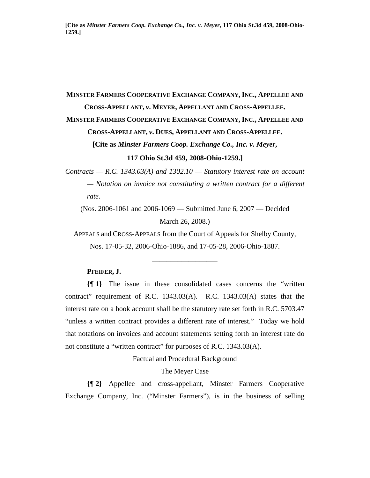**[Cite as** *Minster Farmers Coop. Exchange Co., Inc. v. Meyer***, 117 Ohio St.3d 459, 2008-Ohio-1259.]**

# **MINSTER FARMERS COOPERATIVE EXCHANGE COMPANY, INC., APPELLEE AND CROSS-APPELLANT,** *v***. MEYER, APPELLANT AND CROSS-APPELLEE.**

## **MINSTER FARMERS COOPERATIVE EXCHANGE COMPANY, INC., APPELLEE AND**

**CROSS-APPELLANT,** *v***. DUES, APPELLANT AND CROSS-APPELLEE.** 

**[Cite as** *Minster Farmers Coop. Exchange Co., Inc. v. Meyer***,** 

#### **117 Ohio St.3d 459, 2008-Ohio-1259.]**

*Contracts — R.C. 1343.03(A) and 1302.10 — Statutory interest rate on account — Notation on invoice not constituting a written contract for a different rate.* 

(Nos. 2006-1061 and 2006-1069 — Submitted June 6, 2007 — Decided March 26, 2008.)

APPEALS and CROSS-APPEALS from the Court of Appeals for Shelby County, Nos. 17-05-32, 2006-Ohio-1886, and 17-05-28, 2006-Ohio-1887.

\_\_\_\_\_\_\_\_\_\_\_\_\_\_\_\_\_\_

## **PFEIFER, J.**

**{¶ 1}** The issue in these consolidated cases concerns the "written contract" requirement of R.C. 1343.03(A). R.C. 1343.03(A) states that the interest rate on a book account shall be the statutory rate set forth in R.C. 5703.47 "unless a written contract provides a different rate of interest." Today we hold that notations on invoices and account statements setting forth an interest rate do not constitute a "written contract" for purposes of R.C. 1343.03(A).

Factual and Procedural Background

The Meyer Case

**{¶ 2}** Appellee and cross-appellant, Minster Farmers Cooperative Exchange Company, Inc. ("Minster Farmers"), is in the business of selling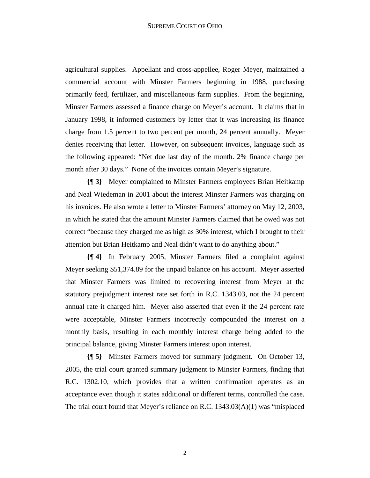agricultural supplies. Appellant and cross-appellee, Roger Meyer, maintained a commercial account with Minster Farmers beginning in 1988, purchasing primarily feed, fertilizer, and miscellaneous farm supplies. From the beginning, Minster Farmers assessed a finance charge on Meyer's account. It claims that in January 1998, it informed customers by letter that it was increasing its finance charge from 1.5 percent to two percent per month, 24 percent annually. Meyer denies receiving that letter. However, on subsequent invoices, language such as the following appeared: "Net due last day of the month. 2% finance charge per month after 30 days." None of the invoices contain Meyer's signature.

**{¶ 3}** Meyer complained to Minster Farmers employees Brian Heitkamp and Neal Wiedeman in 2001 about the interest Minster Farmers was charging on his invoices. He also wrote a letter to Minster Farmers' attorney on May 12, 2003, in which he stated that the amount Minster Farmers claimed that he owed was not correct "because they charged me as high as 30% interest, which I brought to their attention but Brian Heitkamp and Neal didn't want to do anything about."

**{¶ 4}** In February 2005, Minster Farmers filed a complaint against Meyer seeking \$51,374.89 for the unpaid balance on his account. Meyer asserted that Minster Farmers was limited to recovering interest from Meyer at the statutory prejudgment interest rate set forth in R.C. 1343.03, not the 24 percent annual rate it charged him. Meyer also asserted that even if the 24 percent rate were acceptable, Minster Farmers incorrectly compounded the interest on a monthly basis, resulting in each monthly interest charge being added to the principal balance, giving Minster Farmers interest upon interest.

**{¶ 5}** Minster Farmers moved for summary judgment. On October 13, 2005, the trial court granted summary judgment to Minster Farmers, finding that R.C. 1302.10, which provides that a written confirmation operates as an acceptance even though it states additional or different terms, controlled the case. The trial court found that Meyer's reliance on R.C. 1343.03(A)(1) was "misplaced

2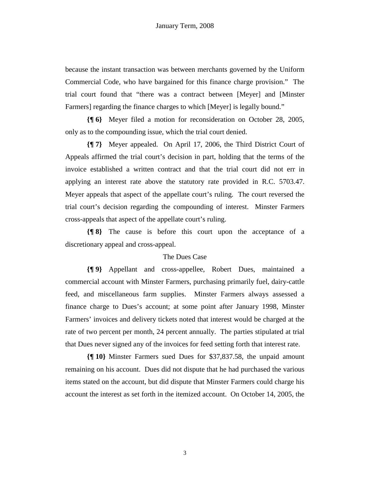because the instant transaction was between merchants governed by the Uniform Commercial Code, who have bargained for this finance charge provision." The trial court found that "there was a contract between [Meyer] and [Minster Farmers] regarding the finance charges to which [Meyer] is legally bound."

**{¶ 6}** Meyer filed a motion for reconsideration on October 28, 2005, only as to the compounding issue, which the trial court denied.

**{¶ 7}** Meyer appealed. On April 17, 2006, the Third District Court of Appeals affirmed the trial court's decision in part, holding that the terms of the invoice established a written contract and that the trial court did not err in applying an interest rate above the statutory rate provided in R.C. 5703.47. Meyer appeals that aspect of the appellate court's ruling. The court reversed the trial court's decision regarding the compounding of interest. Minster Farmers cross-appeals that aspect of the appellate court's ruling.

**{¶ 8}** The cause is before this court upon the acceptance of a discretionary appeal and cross-appeal.

### The Dues Case

**{¶ 9}** Appellant and cross-appellee, Robert Dues, maintained a commercial account with Minster Farmers, purchasing primarily fuel, dairy-cattle feed, and miscellaneous farm supplies. Minster Farmers always assessed a finance charge to Dues's account; at some point after January 1998, Minster Farmers' invoices and delivery tickets noted that interest would be charged at the rate of two percent per month, 24 percent annually. The parties stipulated at trial that Dues never signed any of the invoices for feed setting forth that interest rate.

**{¶ 10}** Minster Farmers sued Dues for \$37,837.58, the unpaid amount remaining on his account. Dues did not dispute that he had purchased the various items stated on the account, but did dispute that Minster Farmers could charge his account the interest as set forth in the itemized account. On October 14, 2005, the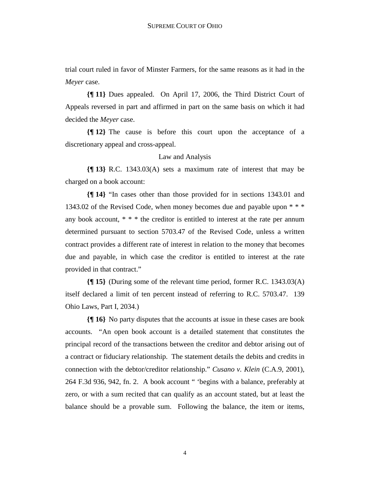trial court ruled in favor of Minster Farmers, for the same reasons as it had in the *Meyer* case.

**{¶ 11}** Dues appealed. On April 17, 2006, the Third District Court of Appeals reversed in part and affirmed in part on the same basis on which it had decided the *Meyer* case.

**{¶ 12}** The cause is before this court upon the acceptance of a discretionary appeal and cross-appeal.

#### Law and Analysis

**{¶ 13}** R.C. 1343.03(A) sets a maximum rate of interest that may be charged on a book account:

**{¶ 14}** "In cases other than those provided for in sections 1343.01 and 1343.02 of the Revised Code, when money becomes due and payable upon \* \* \* any book account,  $* * *$  the creditor is entitled to interest at the rate per annum determined pursuant to section 5703.47 of the Revised Code, unless a written contract provides a different rate of interest in relation to the money that becomes due and payable, in which case the creditor is entitled to interest at the rate provided in that contract."

**{¶ 15}** (During some of the relevant time period, former R.C. 1343.03(A) itself declared a limit of ten percent instead of referring to R.C. 5703.47. 139 Ohio Laws, Part I, 2034.)

**{¶ 16}** No party disputes that the accounts at issue in these cases are book accounts. "An open book account is a detailed statement that constitutes the principal record of the transactions between the creditor and debtor arising out of a contract or fiduciary relationship. The statement details the debits and credits in connection with the debtor/creditor relationship." *Cusano v. Klein* (C.A.9, 2001), 264 F.3d 936, 942, fn. 2. A book account " 'begins with a balance, preferably at zero, or with a sum recited that can qualify as an account stated, but at least the balance should be a provable sum. Following the balance, the item or items,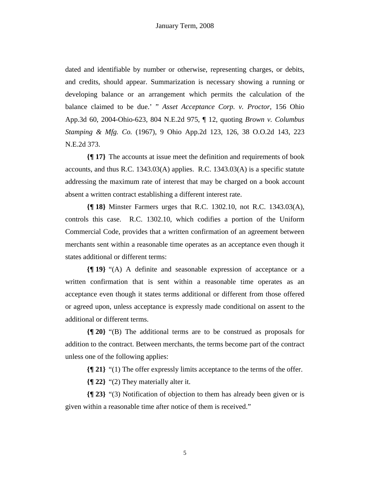dated and identifiable by number or otherwise, representing charges, or debits, and credits, should appear. Summarization is necessary showing a running or developing balance or an arrangement which permits the calculation of the balance claimed to be due.' " *Asset Acceptance Corp. v. Proctor*, 156 Ohio App.3d 60, 2004-Ohio-623, 804 N.E.2d 975, ¶ 12, quoting *Brown v. Columbus Stamping & Mfg. Co.* (1967), 9 Ohio App.2d 123, 126, 38 O.O.2d 143, 223 N.E.2d 373.

**{¶ 17}** The accounts at issue meet the definition and requirements of book accounts, and thus R.C. 1343.03(A) applies. R.C. 1343.03(A) is a specific statute addressing the maximum rate of interest that may be charged on a book account absent a written contract establishing a different interest rate.

**{¶ 18}** Minster Farmers urges that R.C. 1302.10, not R.C. 1343.03(A), controls this case. R.C. 1302.10, which codifies a portion of the Uniform Commercial Code, provides that a written confirmation of an agreement between merchants sent within a reasonable time operates as an acceptance even though it states additional or different terms:

**{¶ 19}** "(A) A definite and seasonable expression of acceptance or a written confirmation that is sent within a reasonable time operates as an acceptance even though it states terms additional or different from those offered or agreed upon, unless acceptance is expressly made conditional on assent to the additional or different terms.

**{¶ 20}** "(B) The additional terms are to be construed as proposals for addition to the contract. Between merchants, the terms become part of the contract unless one of the following applies:

**{¶ 21}** "(1) The offer expressly limits acceptance to the terms of the offer.

**{¶ 22}** "(2) They materially alter it.

**{¶ 23}** "(3) Notification of objection to them has already been given or is given within a reasonable time after notice of them is received."

5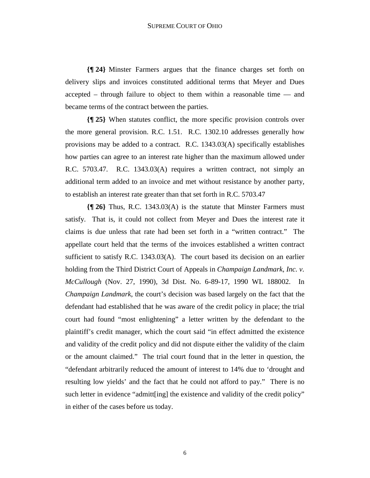**{¶ 24}** Minster Farmers argues that the finance charges set forth on delivery slips and invoices constituted additional terms that Meyer and Dues accepted – through failure to object to them within a reasonable time — and became terms of the contract between the parties.

**{¶ 25}** When statutes conflict, the more specific provision controls over the more general provision. R.C. 1.51. R.C. 1302.10 addresses generally how provisions may be added to a contract. R.C. 1343.03(A) specifically establishes how parties can agree to an interest rate higher than the maximum allowed under R.C. 5703.47. R.C. 1343.03(A) requires a written contract, not simply an additional term added to an invoice and met without resistance by another party, to establish an interest rate greater than that set forth in R.C. 5703.47

**{¶ 26}** Thus, R.C. 1343.03(A) is the statute that Minster Farmers must satisfy. That is, it could not collect from Meyer and Dues the interest rate it claims is due unless that rate had been set forth in a "written contract." The appellate court held that the terms of the invoices established a written contract sufficient to satisfy R.C. 1343.03(A). The court based its decision on an earlier holding from the Third District Court of Appeals in *Champaign Landmark, Inc. v. McCullough* (Nov. 27, 1990), 3d Dist. No. 6-89-17, 1990 WL 188002. In *Champaign Landmark*, the court's decision was based largely on the fact that the defendant had established that he was aware of the credit policy in place; the trial court had found "most enlightening" a letter written by the defendant to the plaintiff's credit manager, which the court said "in effect admitted the existence and validity of the credit policy and did not dispute either the validity of the claim or the amount claimed." The trial court found that in the letter in question, the "defendant arbitrarily reduced the amount of interest to 14% due to 'drought and resulting low yields' and the fact that he could not afford to pay." There is no such letter in evidence "admitt[ing] the existence and validity of the credit policy" in either of the cases before us today.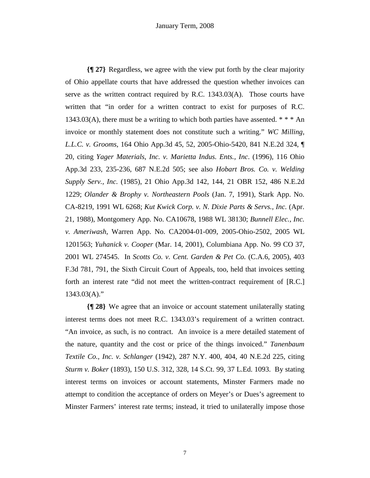**{¶ 27}** Regardless, we agree with the view put forth by the clear majority of Ohio appellate courts that have addressed the question whether invoices can serve as the written contract required by R.C. 1343.03(A). Those courts have written that "in order for a written contract to exist for purposes of R.C. 1343.03(A), there must be a writing to which both parties have assented.  $***$  An invoice or monthly statement does not constitute such a writing." *WC Milling, L.L.C. v. Grooms*, 164 Ohio App.3d 45, 52, 2005-Ohio-5420, 841 N.E.2d 324, ¶ 20, citing *Yager Materials, Inc. v. Marietta Indus. Ents., Inc*. (1996)*,* 116 Ohio App.3d 233, 235-236, 687 N.E.2d 505; see also *Hobart Bros. Co. v. Welding Supply Serv., Inc.* (1985), 21 Ohio App.3d 142, 144*,* 21 OBR 152, 486 N.E.2d 1229; *Olander & Brophy v. Northeastern Pools* (Jan. 7, 1991), Stark App. No. CA-8219, 1991 WL 6268; *Kut Kwick Corp. v. N. Dixie Parts & Servs., Inc.* (Apr. 21, 1988), Montgomery App. No. CA10678, 1988 WL 38130; *Bunnell Elec., Inc. v. Ameriwash*, Warren App. No. CA2004-01-009, 2005-Ohio-2502, 2005 WL 1201563; *Yuhanick v. Cooper* (Mar. 14, 2001), Columbiana App. No. 99 CO 37, 2001 WL 274545. In *Scotts Co. v. Cent. Garden & Pet Co.* (C.A.6, 2005), 403 F.3d 781, 791, the Sixth Circuit Court of Appeals, too, held that invoices setting forth an interest rate "did not meet the written-contract requirement of [R.C.]  $1343.03(A)$ ."

**{¶ 28}** We agree that an invoice or account statement unilaterally stating interest terms does not meet R.C. 1343.03's requirement of a written contract. "An invoice, as such, is no contract. An invoice is a mere detailed statement of the nature, quantity and the cost or price of the things invoiced." *Tanenbaum Textile Co., Inc. v. Schlanger* (1942), 287 N.Y. 400, 404, 40 N.E.2d 225, citing *Sturm v. Boker* (1893), 150 U.S. 312, 328, 14 S.Ct. 99, 37 L.Ed. 1093. By stating interest terms on invoices or account statements, Minster Farmers made no attempt to condition the acceptance of orders on Meyer's or Dues's agreement to Minster Farmers' interest rate terms; instead, it tried to unilaterally impose those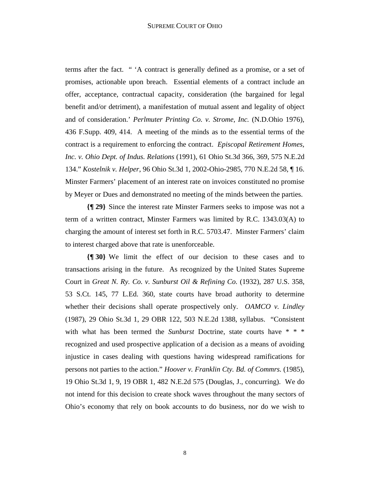terms after the fact. " 'A contract is generally defined as a promise, or a set of promises, actionable upon breach. Essential elements of a contract include an offer, acceptance, contractual capacity, consideration (the bargained for legal benefit and/or detriment), a manifestation of mutual assent and legality of object and of consideration.' *Perlmuter Printing Co. v. Strome, Inc.* (N.D.Ohio 1976), 436 F.Supp. 409, 414. A meeting of the minds as to the essential terms of the contract is a requirement to enforcing the contract. *Episcopal Retirement Homes, Inc. v. Ohio Dept. of Indus. Relations* (1991), 61 Ohio St.3d 366, 369, 575 N.E.2d 134." *Kostelnik v. Helper*, 96 Ohio St.3d 1, 2002-Ohio-2985, 770 N.E.2d 58, ¶ 16. Minster Farmers' placement of an interest rate on invoices constituted no promise by Meyer or Dues and demonstrated no meeting of the minds between the parties.

**{¶ 29}** Since the interest rate Minster Farmers seeks to impose was not a term of a written contract, Minster Farmers was limited by R.C. 1343.03(A) to charging the amount of interest set forth in R.C. 5703.47. Minster Farmers' claim to interest charged above that rate is unenforceable.

**{¶ 30}** We limit the effect of our decision to these cases and to transactions arising in the future. As recognized by the United States Supreme Court in *Great N. Ry. Co. v. Sunburst Oil & Refining Co.* (1932), 287 U.S. 358, 53 S.Ct. 145, 77 L.Ed. 360, state courts have broad authority to determine whether their decisions shall operate prospectively only. *OAMCO v. Lindley*  (1987), 29 Ohio St.3d 1, 29 OBR 122, 503 N.E.2d 1388, syllabus. "Consistent with what has been termed the *Sunburst* Doctrine, state courts have \* \* \* recognized and used prospective application of a decision as a means of avoiding injustice in cases dealing with questions having widespread ramifications for persons not parties to the action." *Hoover v. Franklin Cty. Bd. of Commrs.* (1985), 19 Ohio St.3d 1, 9, 19 OBR 1, 482 N.E.2d 575 (Douglas, J., concurring). We do not intend for this decision to create shock waves throughout the many sectors of Ohio's economy that rely on book accounts to do business, nor do we wish to